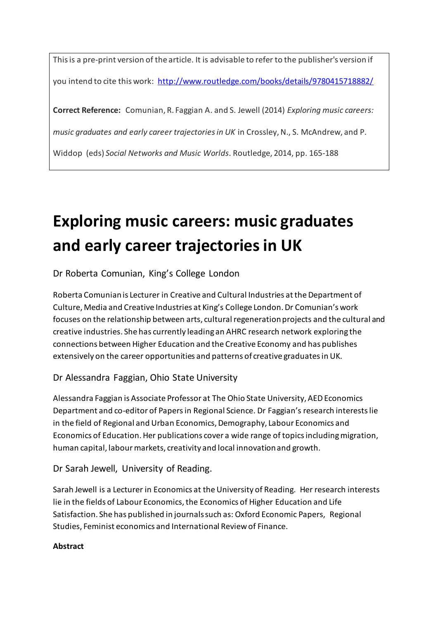This is a pre-print version of the article. It is advisable to refer to the publisher's version if you intend to cite this work: <http://www.routledge.com/books/details/9780415718882/>

**Correct Reference:** Comunian, R. Faggian A. and S. Jewell (2014) *Exploring music careers:* 

*music graduates and early career trajectories in UK* in Crossley, N., S. McAndrew, and P.

Widdop (eds) *Social Networks and Music Worlds*. Routledge, 2014, pp. 165-188

# **Exploring music careers: music graduates and early career trajectories in UK**

Dr Roberta Comunian, King's College London

Roberta Comunian is Lecturer in Creative and Cultural Industries at the Department of Culture, Media and Creative Industries at King's College London. Dr Comunian's work focuses on the relationship between arts, cultural regeneration projects and the cultural and creative industries. She has currently leading an AHRC research network exploring the connections between Higher Education and the Creative Economy and has publishes extensively on the career opportunities and patterns of creative graduates in UK.

## Dr Alessandra Faggian, Ohio State University

Alessandra Faggian is Associate Professor at The Ohio State University, AED Economics Department and co-editor of Papers in Regional Science. Dr Faggian's research interests lie in the field of Regional and Urban Economics, Demography, Labour Economics and Economics of Education. Her publications cover a wide range of topics including migration, human capital, labour markets, creativity and local innovation and growth.

Dr Sarah Jewell, University of Reading.

Sarah Jewell is a Lecturer in Economics at the University of Reading. Her research interests lie in the fields of Labour Economics, the Economics of Higher Education and Life Satisfaction. She has published in journals such as: Oxford Economic Papers, Regional Studies, Feminist economics and International Review of Finance.

#### **Abstract**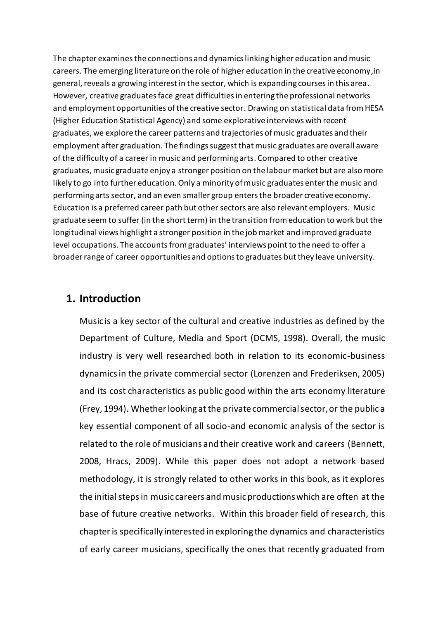The chapter examines the connections and dynamics linking higher education and music careers. The emerging literature on the role of higher education in the creative economy,in general, reveals a growing interest in the sector, which is expanding courses in this area. However, creative graduates face great difficulties in entering the professional networks and employment opportunities of the creative sector. Drawing on statistical data from HESA (Higher Education Statistical Agency) and some explorative interviews with recent graduates, we explore the career patterns and trajectories of music graduates and their employment after graduation. The findings suggest that music graduates are overall aware of the difficulty of a career in music and performing arts. Compared to other creative graduates, music graduate enjoy a stronger position on the labour market but are also more likely to go into further education. Only a minority of music graduates enter the music and performing arts sector, and an even smaller group enters the broader creative economy. Education is a preferred career path but other sectors are also relevant employers. Music graduate seem to suffer (in the short term) in the transition from education to work but the longitudinal views highlight a stronger position in the job market and improved graduate level occupations. The accounts fromgraduates' interviews point to the need to offer a broader range of career opportunities and options to graduates butthey leave university.

#### **1. Introduction**

Music is a key sector of the cultural and creative industries as defined by the Department of Culture, Media and Sport [\(DCMS, 1998\)](#page-23-0). Overall, the music industry is very well researched both in relation to its economic-business dynamics in the private commercial sector [\(Lorenzen and Frederiksen, 2005\)](#page-24-0) and its cost characteristics as public good within the arts economy literature [\(Frey, 1994\)](#page-24-1). Whether looking at the private commercial sector, or the public a key essential component of all socio-and economic analysis of the sector is related to the role of musicians and their creative work and careers [\(Bennett,](#page-23-1)  [2008,](#page-23-1) [Hracs, 2009\)](#page-24-2). While this paper does not adopt a network based methodology, it is strongly related to other works in this book, as it explores the initial steps in music careers and music productions which are often at the base of future creative networks. Within this broader field of research, this chapteris specifically interested in exploring the dynamics and characteristics of early career musicians, specifically the ones that recently graduated from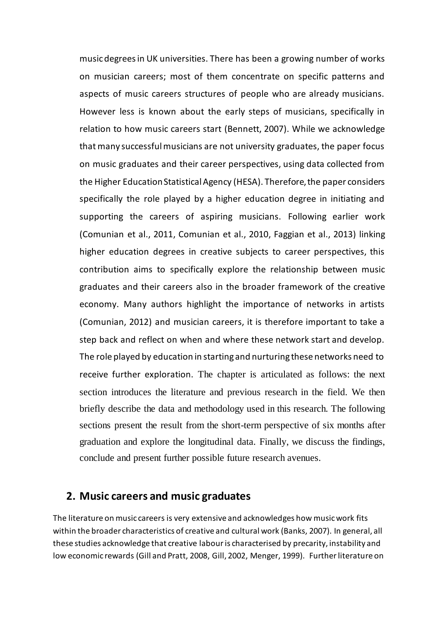music degrees in UK universities. There has been a growing number of works on musician careers; most of them concentrate on specific patterns and aspects of music careers structures of people who are already musicians. However less is known about the early steps of musicians, specifically in relation to how music careers start [\(Bennett, 2007\)](#page-23-2). While we acknowledge that many successful musicians are not university graduates, the paper focus on music graduates and their career perspectives, using data collected from the Higher Education Statistical Agency (HESA). Therefore, the paper considers specifically the role played by a higher education degree in initiating and supporting the careers of aspiring musicians. Following earlier work [\(Comunian et al., 2011,](#page-23-3) [Comunian et al., 2010,](#page-23-4) [Faggian et al., 2013\)](#page-24-3) linking higher education degrees in creative subjects to career perspectives, this contribution aims to specifically explore the relationship between music graduates and their careers also in the broader framework of the creative economy. Many authors highlight the importance of networks in artists [\(Comunian, 2012\)](#page-23-5) and musician careers, it is therefore important to take a step back and reflect on when and where these network start and develop. The role played by education in starting and nurturing these networks need to receive further exploration. The chapter is articulated as follows: the next section introduces the literature and previous research in the field. We then briefly describe the data and methodology used in this research. The following sections present the result from the short-term perspective of six months after graduation and explore the longitudinal data. Finally, we discuss the findings, conclude and present further possible future research avenues.

### **2. Music careers and music graduates**

The literature on music careers is very extensive and acknowledges how music work fits within the broader characteristics of creative and cultural work [\(Banks, 2007\)](#page-23-6). In general, all these studies acknowledge that creative labour is characterised by precarity, instability and low economic rewards [\(Gill and Pratt, 2008,](#page-24-4) [Gill, 2002,](#page-24-5) [Menger, 1999\)](#page-25-0). Further literature on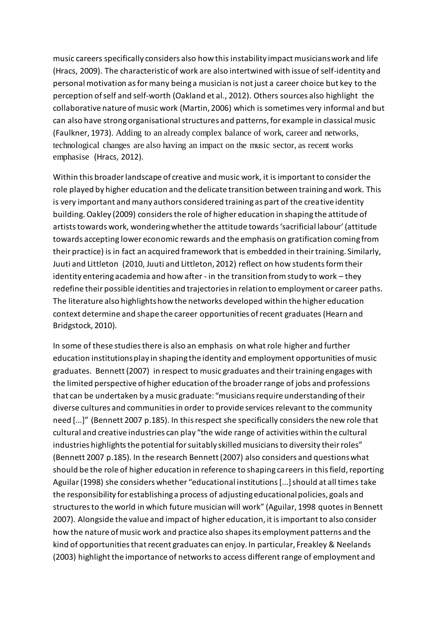music careers specifically considers also how this instability impact musicians work and life (Hracs, 2009). The characteristic of work are also intertwined with issue of self-identity and personal motivation as for many being a musician is not just a career choice but key to the perception of self and self-worth [\(Oakland et al., 2012\)](#page-25-1). Others sources also highlight the collaborative nature of music work [\(Martin, 2006\)](#page-25-2) which is sometimes very informal and but can also have strong organisational structures and patterns, for example in classical music [\(Faulkner, 1973\)](#page-24-6). Adding to an already complex balance of work, career and networks, technological changes are also having an impact on the music sector, as recent works emphasise [\(Hracs, 2012\)](#page-24-7).

Within this broader landscape of creative and music work, it is important to consider the role played by higher education and the delicate transition between training and work. This is very important and many authors considered training as part of the creative identity building. Oakley [\(2009\)](#page-25-3) considers the role of higher education in shaping the attitude of artists towards work, wondering whether the attitude towards 'sacrificial labour' (attitude towards accepting lower economic rewards and the emphasis on gratification coming from their practice) is in fact an acquired framework that is embedded in their training. Similarly, Juuti and Littleton [\(2010,](#page-24-8) [Juuti and Littleton, 2012\)](#page-24-9) reflect on how students form their identity entering academia and how after - in the transition from study to work – they redefine their possible identities and trajectories in relation to employment or career paths. The literature also highlights how the networks developed within the higher education context determine and shape the career opportunities of recent graduates [\(Hearn and](#page-24-10)  [Bridgstock, 2010\)](#page-24-10).

In some of these studies there is also an emphasis on what role higher and further education institutions play in shaping the identity and employment opportunities of music graduates. Bennett (2007) in respect to music graduates and their training engages with the limited perspective of higher education of the broader range of jobs and professions that can be undertaken by a music graduate: "musicians require understanding of their diverse cultures and communities in order to provide services relevant to the community need [...]" (Bennett 2007 p.185). In this respect she specifically considersthe new role that cultural and creative industries can play "the wide range of activities within the cultural industries highlights the potential for suitably skilled musicians to diversity their roles" (Bennett 2007 p.185). In the research Bennett (2007) also considers and questions what should be the role of higher education in reference to shaping careers in this field, reporting Aguilar (1998) she considers whether "educational institutions [...] should at all times take the responsibility for establishing a process of adjusting educational policies, goals and structures to the world in which future musician will work" (Aguilar, 1998 quotesin Bennett 2007). Alongside the value and impact of higher education, it is important to also consider how the nature of music work and practice also shapes its employment patterns and the kind of opportunities that recent graduates can enjoy. In particular, Freakley & Neelands [\(2003\)](#page-24-11) highlight the importance of networks to access different range of employment and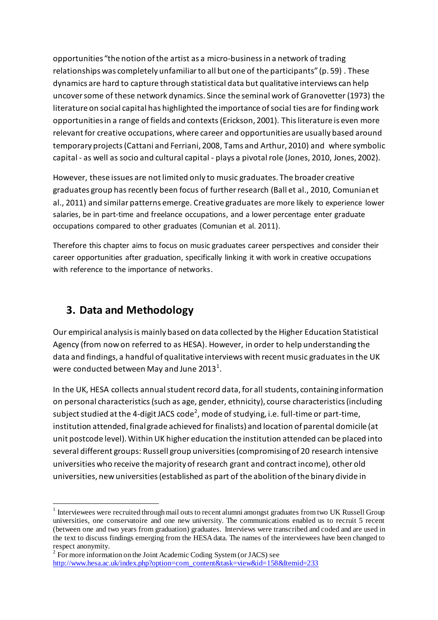opportunities "the notion of the artist as a micro-business in a network of trading relationships was completely unfamiliar to all but one of the participants" (p. 59) . These dynamics are hard to capture through statistical data but qualitative interviews can help uncover some of these network dynamics. Since the seminal work of Granovetter [\(1973\)](#page-24-12) the literature on social capital has highlighted the importance of social ties are for finding work opportunities in a range of fields and contexts [\(Erickson, 2001\)](#page-24-13). This literature is even more relevant for creative occupations, where career and opportunities are usually based around temporary projects [\(Cattani and Ferriani, 2008,](#page-23-7) [Tams and Arthur, 2010\)](#page-25-4) and where symbolic capital - as well as socio and cultural capital - plays a pivotal role [\(Jones, 2010,](#page-24-14) [Jones, 2002\)](#page-24-15).

However, these issues are not limited only to music graduates. The broader creative graduates group hasrecently been focus of further research [\(Ball et al., 2010,](#page-23-8) [Comunian et](#page-23-3)  [al., 2011\)](#page-23-3) and similar patterns emerge. Creative graduates are more likely to experience lower salaries, be in part-time and freelance occupations, and a lower percentage enter graduate occupations compared to other graduates (Comunian et al. 2011).

Therefore this chapter aims to focus on music graduates career perspectives and consider their career opportunities after graduation, specifically linking it with work in creative occupations with reference to the importance of networks.

# **3. Data and Methodology**

 $\overline{a}$ 

Our empirical analysis is mainly based on data collected by the Higher Education Statistical Agency (from now on referred to as HESA). However, in order to help understanding the data and findings, a handful of qualitative interviews with recent music graduates in the UK were conducted between May and June 2013 $^{\rm 1}.$ 

In the UK, HESA collects annual student record data, for all students, containing information on personal characteristics (such as age, gender, ethnicity), course characteristics (including subject studied at the 4-digit JACS code $^2$ , mode of studying, i.e. full-time or part-time, institution attended, final grade achieved for finalists) and location of parental domicile (at unit postcode level). Within UK higher education the institution attended can be placed into several different groups: Russell group universities (compromising of 20 research intensive universities who receive the majority of research grant and contract income), other old universities, new universities (established as part of the abolition of the binary divide in

 $1$  Interviewees were recruited through mail outs to recent alumni amongst graduates from two UK Russell Group universities, one conservatoire and one new university. The communications enabled us to recruit 5 recent (between one and two years from graduation) graduates. Interviews were transcribed and coded and are used in the text to discuss findings emerging from the HESA data. The names of the interviewees have been changed to respect anonymity.

<sup>&</sup>lt;sup>2</sup> For more information on the Joint Academic Coding System (or JACS) see [http://www.hesa.ac.uk/index.php?option=com\\_content&task=view&id=158&Itemid=233](http://www.hesa.ac.uk/index.php?option=com_content&task=view&id=158&Itemid=233)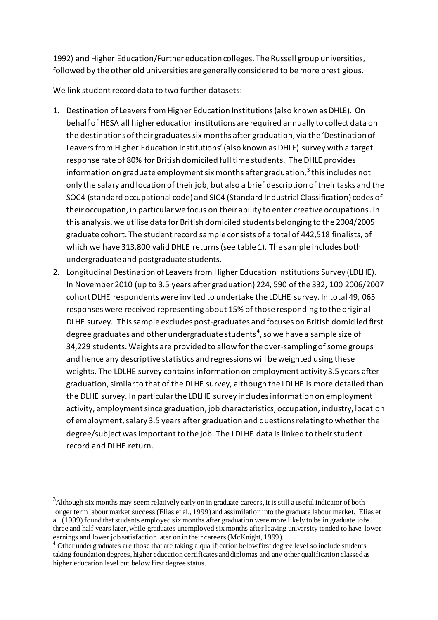1992) and Higher Education/Further education colleges. The Russell group universities, followed by the other old universities are generally considered to be more prestigious.

We link student record data to two further datasets:

- 1. Destination of Leavers from Higher Education Institutions (also known as DHLE). On behalf of HESA all higher education institutions are required annually to collect data on the destinations of their graduates six months after graduation, via the 'Destination of Leavers from Higher Education Institutions' (also known as DHLE) survey with a target response rate of 80% for British domiciled full time students. The DHLE provides information on graduate employment six months after graduation, $^{\mathsf{3}}$  this includes not only the salary and location of their job, but also a brief description of their tasks and the SOC4 (standard occupational code) and SIC4 (Standard Industrial Classification) codes of their occupation, in particular we focus on their ability to enter creative occupations. In this analysis, we utilise data for British domiciled students belonging to the 2004/2005 graduate cohort. The student record sample consists of a total of 442,518 finalists, of which we have 313,800 valid DHLE returns (see table 1). The sample includes both undergraduate and postgraduate students.
- 2. Longitudinal Destination of Leavers from Higher Education Institutions Survey (LDLHE). In November 2010 (up to 3.5 years after graduation) 224, 590 of the 332, 100 2006/2007 cohort DLHE respondents were invited to undertake the LDLHE survey. In total 49, 065 responses were received representing about 15% of those responding to the original DLHE survey. This sample excludes post-graduates and focuses on British domiciled first degree graduates and other undergraduate students $^4$ , so we have a sample size of 34,229 students. Weights are provided to allow for the over-sampling of some groups and hence any descriptive statistics and regressions will be weighted using these weights. The LDLHE survey contains information on employment activity 3.5 years after graduation, similar to that of the DLHE survey, although the LDLHE is more detailed than the DLHE survey. In particular the LDLHE survey includes information on employment activity, employment since graduation, job characteristics, occupation, industry, location of employment, salary 3.5 years after graduation and questions relating to whether the degree/subject was important to the job. The LDLHE data is linked to their student record and DLHE return.

 $\overline{a}$ 

 $3$ Although six months may seem relatively early on in graduate careers, it is still a useful indicator of both longer term labour market success (Elias et al., 1999) and assimilation into the graduate labour market. Elias et al. (1999) found that students employed six months after graduation were more likely to be in graduate jobs three and half years later, while graduates unemployed six months after leaving university tended to have lower earnings and lower job satisfaction later on in their careers (McKnight, 1999).

 $<sup>4</sup>$  Other undergraduates are those that are taking a qualification below first degree level so include students</sup> taking foundation degrees, higher education certificates and diplomas and any other qualification classed as higher education level but below first degree status.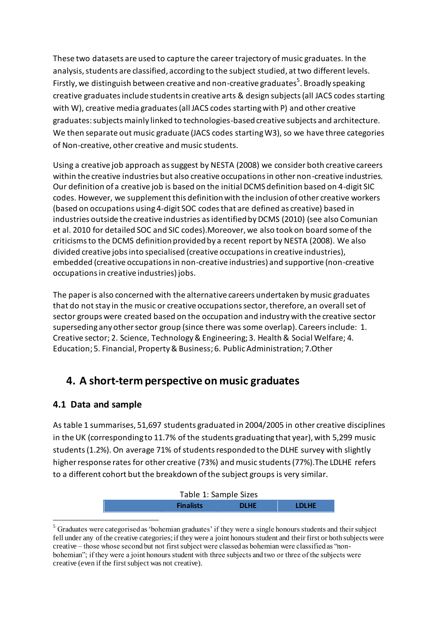These two datasets are used to capture the career trajectory of music graduates. In the analysis, students are classified, according to the subject studied, at two different levels. Firstly, we distinguish between creative and non-creative graduates<sup>5</sup>. Broadly speaking creative graduates include students in creative arts & design subjects (all JACS codes starting with W), creative media graduates (all JACS codes starting with P) and other creative graduates: subjects mainly linked to technologies-based creative subjects and architecture. We then separate out music graduate (JACS codes starting W3), so we have three categories of Non-creative, other creative and music students.

Using a creative job approach as suggest by NESTA [\(2008\)](#page-24-16) we consider both creative careers within the creative industries but also creative occupations in other non-creative industries. Our definition of a creative job is based on the initial DCMS definition based on 4-digit SIC codes. However, we supplement this definition with the inclusion of other creative workers (based on occupations using 4-digit SOC codes that are defined as creative) based in industries outside the creative industries asidentified by DCMS (2010) (see also Comunian et al. 2010 for detailed SOC and SIC codes).Moreover, we also took on board some of the criticisms to the DCMS definition provided by a recent report by NESTA (2008). We also divided creative jobs into specialised (creative occupations in creative industries), embedded (creative occupations in non-creative industries) and supportive (non-creative occupations in creative industries) jobs.

The paper is also concerned with the alternative careers undertaken by music graduates that do not stay in the music or creative occupations sector, therefore, an overall set of sector groups were created based on the occupation and industry with the creative sector superseding any other sector group (since there was some overlap). Careersinclude: 1. Creative sector; 2. Science, Technology & Engineering; 3. Health & Social Welfare; 4. Education; 5. Financial, Property & Business; 6. Public Administration; 7.Other

# **4. A short-term perspective on music graduates**

## **4.1 Data and sample**

 $\overline{a}$ 

As table 1 summarises, 51,697 students graduated in 2004/2005 in other creative disciplines in the UK (corresponding to 11.7% of the students graduating that year), with 5,299 music students(1.2%). On average 71% of students responded to the DLHE survey with slightly higher response rates for other creative (73%) and music students (77%).The LDLHE refers to a different cohort but the breakdown of the subject groups is very similar.



<sup>&</sup>lt;sup>5</sup> Graduates were categorised as 'bohemian graduates' if they were a single honours students and their subject fell under any of the creative categories; if they were a joint honours student and their first or both subjects were creative – those whose second but not first subject were classed as bohemian were classified as "nonbohemian"; if they were a joint honours student with three subjects and two or three of the subjects were creative (even if the first subject was not creative).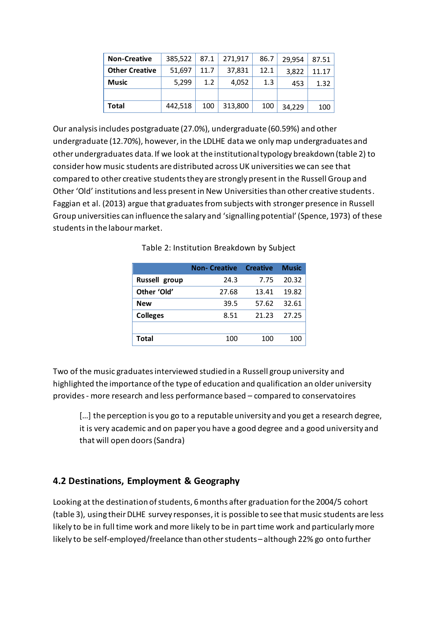| <b>Non-Creative</b>   | 385,522 | 87.1 | 271,917 | 86.7 | 29,954 | 87.51 |
|-----------------------|---------|------|---------|------|--------|-------|
| <b>Other Creative</b> | 51,697  | 11.7 | 37,831  | 12.1 | 3,822  | 11.17 |
| <b>Music</b>          | 5.299   | 1.2  | 4.052   | 1.3  | 453    | 1.32  |
|                       |         |      |         |      |        |       |
| Total                 | 442,518 | 100  | 313,800 | 100  | 34,229 | 100   |

Our analysis includes postgraduate (27.0%), undergraduate (60.59%) and other undergraduate (12.70%), however, in the LDLHE data we only map undergraduates and other undergraduates data. If we look at the institutional typology breakdown (table 2) to consider how music students are distributed across UK universities we can see that compared to other creative students they are strongly present in the Russell Group and Other 'Old' institutions and less present in New Universities than other creative students. Faggian et al. (2013) argue that graduates from subjects with stronger presence in Russell Group universities can influence the salary and 'signalling potential' [\(Spence, 1973\)](#page-25-5) of these students in the labour market.

|                 | <b>Non-Creative</b> | <b>Creative</b> | <b>Music</b> |
|-----------------|---------------------|-----------------|--------------|
| Russell group   | 24.3                | 7.75            | 20.32        |
| Other 'Old'     | 27.68               | 13.41           | 19.82        |
| <b>New</b>      | 39.5                | 57.62           | 32.61        |
| <b>Colleges</b> | 8.51                | 21.23           | 27.25        |
|                 |                     |                 |              |
| Total           | 100                 | 100             | 100          |

Table 2: Institution Breakdown by Subject

Two of the music graduates interviewed studied in a Russell group university and highlighted the importance of the type of education and qualification an older university provides- more research and less performance based – compared to conservatoires

[...] the perception is you go to a reputable university and you get a research degree, it is very academic and on paper you have a good degree and a good university and that will open doors (Sandra)

## **4.2 Destinations, Employment & Geography**

Looking at the destination of students, 6 months after graduation for the 2004/5 cohort (table 3), using their DLHE survey responses, it is possible to see that music students are less likely to be in full time work and more likely to be in part time work and particularly more likely to be self-employed/freelance than other students – although 22% go onto further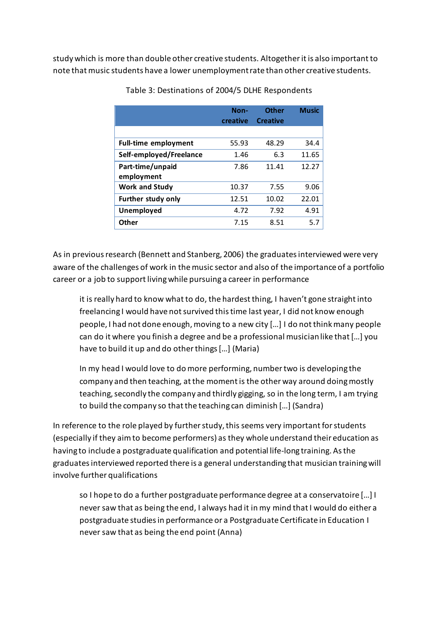study which is more than double other creative students. Altogether it is also important to note that music students have a lower unemployment rate than other creative students.

|                             | Non-<br>creative | <b>Other</b><br><b>Creative</b> | <b>Music</b> |
|-----------------------------|------------------|---------------------------------|--------------|
|                             |                  |                                 |              |
| <b>Full-time employment</b> | 55.93            | 48.29                           | 34.4         |
| Self-employed/Freelance     | 1.46             | 6.3                             | 11.65        |
| Part-time/unpaid            | 7.86             | 11.41                           | 12.27        |
| employment                  |                  |                                 |              |
| <b>Work and Study</b>       | 10.37            | 7.55                            | 9.06         |
| <b>Further study only</b>   | 12.51            | 10.02                           | 22.01        |
| Unemployed                  | 4.72             | 7.92                            | 4.91         |
| <b>Other</b>                | 7.15             | 8.51                            | 5.7          |

Table 3: Destinations of 2004/5 DLHE Respondents

As in previous research [\(Bennett and Stanberg, 2006\)](#page-23-9) the graduates interviewed were very aware of the challenges of work in the music sector and also of the importance of a portfolio career or a job to support living while pursuing a career in performance

it is really hard to know what to do, the hardest thing, I haven't gone straight into freelancing I would have not survived this time last year, I did not know enough people, I had not done enough, moving to a new city […] I do not think many people can do it where you finish a degree and be a professional musician like that […] you have to build it up and do other things […] (Maria)

In my head I would love to do more performing, number two is developing the company and then teaching, at the moment is the other way around doing mostly teaching, secondly the company and thirdly gigging, so in the long term, I am trying to build the company so that the teaching can diminish […] (Sandra)

In reference to the role played by further study, this seems very important for students (especially if they aim to become performers) as they whole understand their education as having to include a postgraduate qualification and potential life-long training. As the graduates interviewed reported there is a general understanding that musician training will involve further qualifications

so I hope to do a further postgraduate performance degree at a conservatoire […] I never saw that as being the end, I always had it in my mind that I would do either a postgraduate studies in performance or a Postgraduate Certificate in Education I never saw that as being the end point (Anna)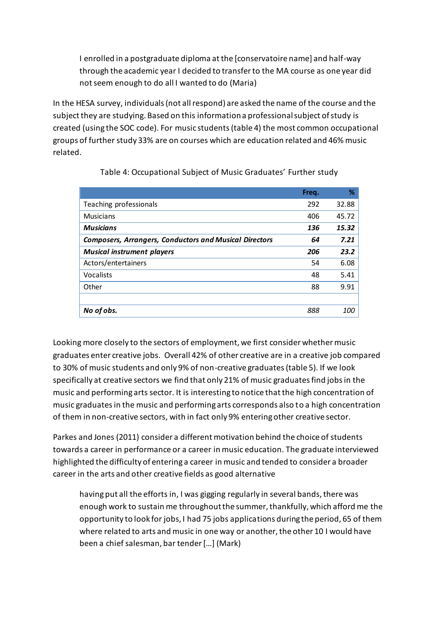I enrolled in a postgraduate diploma at the [conservatoire name] and half-way through the academic year I decided to transfer to the MA course as one year did not seem enough to do all I wanted to do (Maria)

In the HESA survey, individuals (not all respond) are asked the name of the course and the subject they are studying. Based on this information a professional subject of study is created (using the SOC code). For music students(table 4) the most common occupational groups of further study 33% are on courses which are education related and 46% music related.

|                                                               | Freq. | ℅          |
|---------------------------------------------------------------|-------|------------|
| Teaching professionals                                        | 292   | 32.88      |
| <b>Musicians</b>                                              | 406   | 45.72      |
| <b>Musicians</b>                                              | 136   | 15.32      |
| <b>Composers, Arrangers, Conductors and Musical Directors</b> | 64    | 7.21       |
| <b>Musical instrument players</b>                             | 206   | 23.2       |
| Actors/entertainers                                           | 54    | 6.08       |
| Vocalists                                                     | 48    | 5.41       |
| Other                                                         | 88    | 9.91       |
|                                                               |       |            |
| No of obs.                                                    | 888   | <i>100</i> |

Table 4: Occupational Subject of Music Graduates' Further study

Looking more closely to the sectors of employment, we first consider whether music graduates enter creative jobs. Overall 42% of other creative are in a creative job compared to 30% of music students and only 9% of non-creative graduates(table 5). If we look specifically at creative sectors we find that only 21% of music graduates find jobs in the music and performing arts sector. It is interesting to notice that the high concentration of music graduates in the music and performing arts corresponds also to a high concentration of them in non-creative sectors, with in fact only 9% entering other creative sector.

Parkes and Jones [\(2011\)](#page-25-6) consider a different motivation behind the choice of students towards a career in performance or a career in music education. The graduate interviewed highlighted the difficulty of entering a career in music and tended to consider a broader career in the arts and other creative fields as good alternative

having put all the efforts in, I was gigging regularly in several bands, there was enough work to sustain me throughout the summer, thankfully, which afford me the opportunity to look for jobs, I had 75 jobs applications during the period, 65 of them where related to arts and music in one way or another, the other 10 I would have been a chief salesman, bar tender […] (Mark)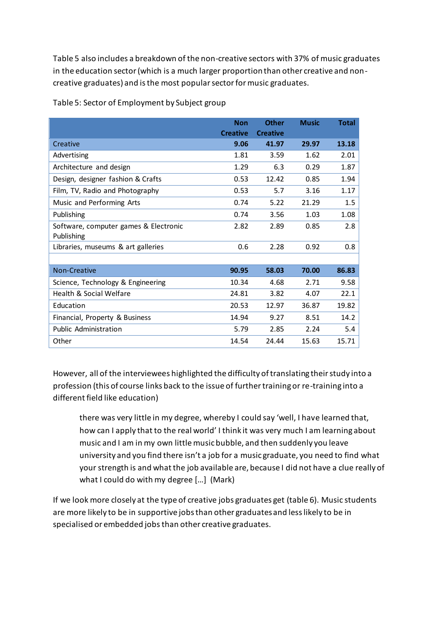Table 5 also includes a breakdown of the non-creative sectors with 37% of music graduates in the education sector (which is a much larger proportion than other creative and noncreative graduates) and is the most popular sector for music graduates.

|                                       | <b>Non</b><br><b>Creative</b> | <b>Other</b><br><b>Creative</b> | <b>Music</b> | <b>Total</b> |
|---------------------------------------|-------------------------------|---------------------------------|--------------|--------------|
| Creative                              | 9.06                          | 41.97                           | 29.97        | 13.18        |
| Advertising                           | 1.81                          | 3.59                            | 1.62         | 2.01         |
| Architecture and design               | 1.29                          | 6.3                             | 0.29         | 1.87         |
| Design, designer fashion & Crafts     | 0.53                          | 12.42                           | 0.85         | 1.94         |
| Film, TV, Radio and Photography       | 0.53                          | 5.7                             | 3.16         | 1.17         |
| Music and Performing Arts             | 0.74                          | 5.22                            | 21.29        | 1.5          |
| Publishing                            | 0.74                          | 3.56                            | 1.03         | 1.08         |
| Software, computer games & Electronic | 2.82                          | 2.89                            | 0.85         | 2.8          |
| Publishing                            |                               |                                 |              |              |
| Libraries, museums & art galleries    | 0.6                           | 2.28                            | 0.92         | 0.8          |
|                                       |                               |                                 |              |              |
| <b>Non-Creative</b>                   | 90.95                         | 58.03                           | 70.00        | 86.83        |
| Science, Technology & Engineering     | 10.34                         | 4.68                            | 2.71         | 9.58         |
| Health & Social Welfare               | 24.81                         | 3.82                            | 4.07         | 22.1         |
| Education                             | 20.53                         | 12.97                           | 36.87        | 19.82        |
| Financial, Property & Business        | 14.94                         | 9.27                            | 8.51         | 14.2         |
| <b>Public Administration</b>          | 5.79                          | 2.85                            | 2.24         | 5.4          |
| Other                                 | 14.54                         | 24.44                           | 15.63        | 15.71        |

Table 5: Sector of Employment by Subject group

However, all of the interviewees highlighted the difficulty of translating their study into a profession (this of course links back to the issue of further training or re-training into a different field like education)

there was very little in my degree, whereby I could say 'well, I have learned that, how can I apply that to the real world' I think it was very much I am learning about music and I am in my own little music bubble, and then suddenly you leave university and you find there isn't a job for a music graduate, you need to find what your strength is and what the job available are, because I did not have a clue really of what I could do with my degree […] (Mark)

If we look more closely at the type of creative jobs graduates get (table 6). Music students are more likely to be in supportive jobs than other graduates and less likely to be in specialised or embedded jobs than other creative graduates.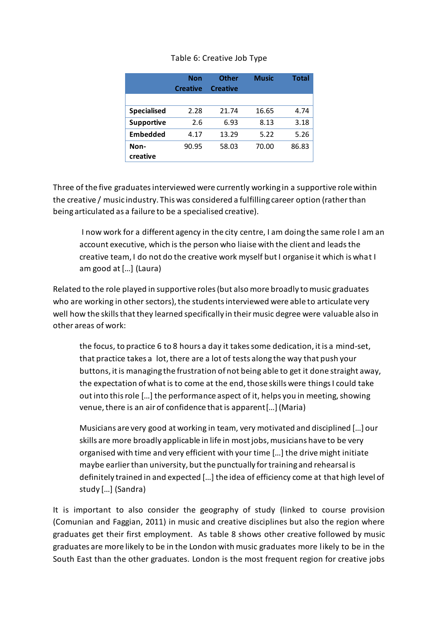#### Table 6: Creative Job Type

|                    | <b>Non</b><br><b>Creative</b> | <b>Other</b><br><b>Creative</b> | <b>Music</b> | <b>Total</b> |
|--------------------|-------------------------------|---------------------------------|--------------|--------------|
|                    |                               |                                 |              |              |
| <b>Specialised</b> | 2.28                          | 21.74                           | 16.65        | 4.74         |
| <b>Supportive</b>  | 2.6                           | 6.93                            | 8.13         | 3.18         |
| <b>Embedded</b>    | 4.17                          | 13.29                           | 5.22         | 5.26         |
| Non-<br>creative   | 90.95                         | 58.03                           | 70.00        | 86.83        |

Three of the five graduates interviewed were currently working in a supportive role within the creative / music industry. This was considered a fulfilling career option (rather than being articulated as a failure to be a specialised creative).

I now work for a different agency in the city centre, I am doing the same role I am an account executive, which is the person who liaise with the client and leadsthe creative team, I do not do the creative work myself but I organise it which is what I am good at […] (Laura)

Related to the role played in supportive roles (but also more broadly to music graduates who are working in other sectors), the students interviewed were able to articulate very well how the skills that they learned specifically in their music degree were valuable also in other areas of work:

the focus, to practice 6 to 8 hours a day it takes some dedication, it is a mind-set, that practice takes a lot, there are a lot of tests along the way that push your buttons, it is managing the frustration of not being able to get it done straight away, the expectation of what is to come at the end, those skills were things I could take out into this role […] the performance aspect of it, helps you in meeting, showing venue, there is an air of confidence that is apparent[…](Maria)

Musicians are very good at working in team, very motivated and disciplined […] our skills are more broadly applicable in life in most jobs, musicians have to be very organised with time and very efficient with your time […] the drive might initiate maybe earlier than university, but the punctually for training and rehearsal is definitely trained in and expected […] the idea of efficiency come at that high level of study […] (Sandra)

It is important to also consider the geography of study (linked to course provision [\(Comunian and Faggian, 2011](#page-23-10)) in music and creative disciplines but also the region where graduates get their first employment. As table 8 shows other creative followed by music graduates are more likely to be in the London with music graduates more likely to be in the South East than the other graduates. London is the most frequent region for creative jobs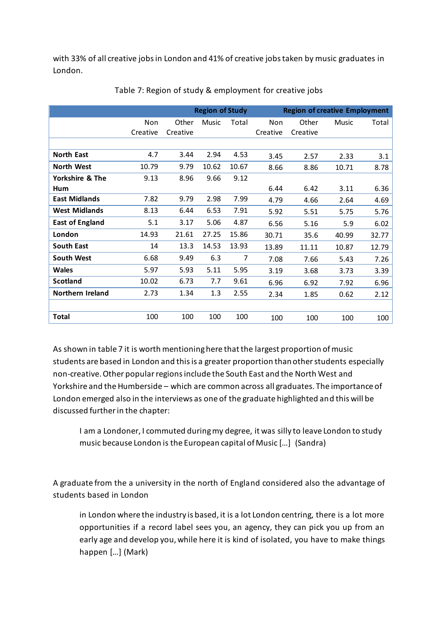with 33% of all creative jobs in London and 41% of creative jobs taken by music graduates in London.

|                         |          | <b>Region of Study</b> |              |       | <b>Region of creative Employment</b> |          |              |       |
|-------------------------|----------|------------------------|--------------|-------|--------------------------------------|----------|--------------|-------|
|                         | Non      | Other                  | <b>Music</b> | Total | Non                                  | Other    | <b>Music</b> | Total |
|                         | Creative | Creative               |              |       | Creative                             | Creative |              |       |
|                         |          |                        |              |       |                                      |          |              |       |
| <b>North East</b>       | 4.7      | 3.44                   | 2.94         | 4.53  | 3.45                                 | 2.57     | 2.33         | 3.1   |
| <b>North West</b>       | 10.79    | 9.79                   | 10.62        | 10.67 | 8.66                                 | 8.86     | 10.71        | 8.78  |
| Yorkshire & The         | 9.13     | 8.96                   | 9.66         | 9.12  |                                      |          |              |       |
| Hum                     |          |                        |              |       | 6.44                                 | 6.42     | 3.11         | 6.36  |
| <b>East Midlands</b>    | 7.82     | 9.79                   | 2.98         | 7.99  | 4.79                                 | 4.66     | 2.64         | 4.69  |
| <b>West Midlands</b>    | 8.13     | 6.44                   | 6.53         | 7.91  | 5.92                                 | 5.51     | 5.75         | 5.76  |
| <b>East of England</b>  | 5.1      | 3.17                   | 5.06         | 4.87  | 6.56                                 | 5.16     | 5.9          | 6.02  |
| London                  | 14.93    | 21.61                  | 27.25        | 15.86 | 30.71                                | 35.6     | 40.99        | 32.77 |
| <b>South East</b>       | 14       | 13.3                   | 14.53        | 13.93 | 13.89                                | 11.11    | 10.87        | 12.79 |
| <b>South West</b>       | 6.68     | 9.49                   | 6.3          | 7     | 7.08                                 | 7.66     | 5.43         | 7.26  |
| <b>Wales</b>            | 5.97     | 5.93                   | 5.11         | 5.95  | 3.19                                 | 3.68     | 3.73         | 3.39  |
| <b>Scotland</b>         | 10.02    | 6.73                   | 7.7          | 9.61  | 6.96                                 | 6.92     | 7.92         | 6.96  |
| <b>Northern Ireland</b> | 2.73     | 1.34                   | 1.3          | 2.55  | 2.34                                 | 1.85     | 0.62         | 2.12  |
|                         |          |                        |              |       |                                      |          |              |       |
| <b>Total</b>            | 100      | 100                    | 100          | 100   | 100                                  | 100      | 100          | 100   |

Table 7: Region of study & employment for creative jobs

As shown in table 7 it is worth mentioning here that the largest proportion of music students are based in London and this is a greater proportion than other students especially non-creative. Other popular regions include the South East and the North West and Yorkshire and the Humberside – which are common across all graduates. The importance of London emerged also in the interviews as one of the graduate highlighted and this will be discussed further in the chapter:

I am a Londoner, I commuted during my degree, it was silly to leave London to study music because London is the European capital of Music […] (Sandra)

A graduate from the a university in the north of England considered also the advantage of students based in London

in London where the industry is based, it is a lot London centring, there is a lot more opportunities if a record label sees you, an agency, they can pick you up from an early age and develop you, while here it is kind of isolated, you have to make things happen […] (Mark)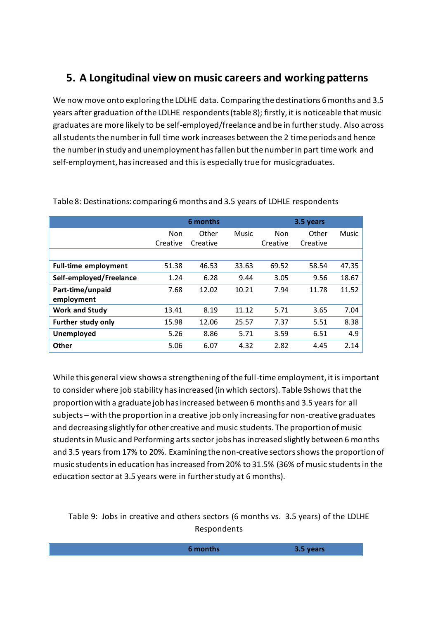# **5. A Longitudinal view on music careers and working patterns**

We now move onto exploring the LDLHE data. Comparing the destinations 6 months and 3.5 years after graduation of the LDLHE respondents (table 8); firstly, it is noticeable that music graduates are more likely to be self-employed/freelance and be in further study. Also across all students the number in full time work increases between the 2 time periods and hence the number in study and unemployment has fallen but the number in part time work and self-employment, has increased and this is especially true for music graduates.

|                             |          | 6 months |              | 3.5 years |          |              |
|-----------------------------|----------|----------|--------------|-----------|----------|--------------|
|                             | Non      | Other    | <b>Music</b> | Non       | Other    | <b>Music</b> |
|                             | Creative | Creative |              | Creative  | Creative |              |
|                             |          |          |              |           |          |              |
| <b>Full-time employment</b> | 51.38    | 46.53    | 33.63        | 69.52     | 58.54    | 47.35        |
| Self-employed/Freelance     | 1.24     | 6.28     | 9.44         | 3.05      | 9.56     | 18.67        |
| Part-time/unpaid            | 7.68     | 12.02    | 10.21        | 7.94      | 11.78    | 11.52        |
| employment                  |          |          |              |           |          |              |
| <b>Work and Study</b>       | 13.41    | 8.19     | 11.12        | 5.71      | 3.65     | 7.04         |
| <b>Further study only</b>   | 15.98    | 12.06    | 25.57        | 7.37      | 5.51     | 8.38         |
| Unemployed                  | 5.26     | 8.86     | 5.71         | 3.59      | 6.51     | 4.9          |
| <b>Other</b>                | 5.06     | 6.07     | 4.32         | 2.82      | 4.45     | 2.14         |

Table 8: Destinations: comparing 6 months and 3.5 years of LDHLE respondents

While this general view shows a strengthening of the full-time employment, it is important to consider where job stability has increased (in which sectors). Table 9shows that the proportion with a graduate job has increased between 6 months and 3.5 years for all subjects – with the proportion in a creative job only increasing for non-creative graduates and decreasing slightly for other creative and music students. The proportion of music students in Music and Performing arts sector jobs has increased slightly between 6 months and 3.5 years from 17% to 20%. Examining the non-creative sectors showsthe proportion of music students in education has increased from 20% to 31.5% (36% of music students in the education sector at 3.5 years were in further study at 6 months).

#### Table 9: Jobs in creative and others sectors (6 months vs. 3.5 years) of the LDLHE Respondents

|  |  | .<br>$-$ n $-$ | .<br>. |
|--|--|----------------|--------|
|--|--|----------------|--------|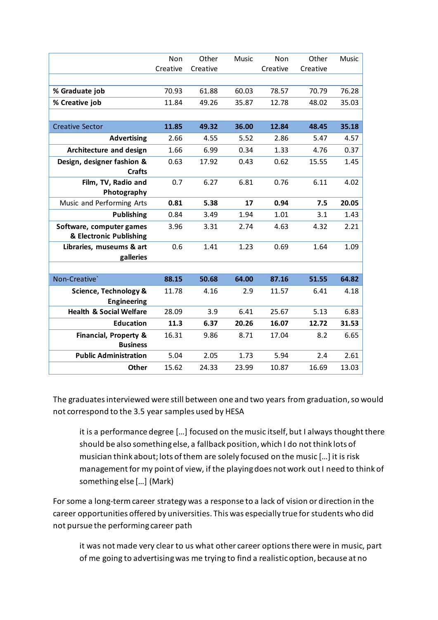|                                                     | Non<br>Creative | Other<br>Creative | <b>Music</b> | Non<br>Creative | Other<br>Creative | Music |
|-----------------------------------------------------|-----------------|-------------------|--------------|-----------------|-------------------|-------|
|                                                     |                 |                   |              |                 |                   |       |
| % Graduate job                                      | 70.93           | 61.88             | 60.03        | 78.57           | 70.79             | 76.28 |
| % Creative job                                      | 11.84           | 49.26             | 35.87        | 12.78           | 48.02             | 35.03 |
|                                                     |                 |                   |              |                 |                   |       |
| <b>Creative Sector</b>                              | 11.85           | 49.32             | 36.00        | 12.84           | 48.45             | 35.18 |
| <b>Advertising</b>                                  | 2.66            | 4.55              | 5.52         | 2.86            | 5.47              | 4.57  |
| <b>Architecture and design</b>                      | 1.66            | 6.99              | 0.34         | 1.33            | 4.76              | 0.37  |
| Design, designer fashion &                          | 0.63            | 17.92             | 0.43         | 0.62            | 15.55             | 1.45  |
| <b>Crafts</b><br>Film, TV, Radio and                | 0.7             | 6.27              | 6.81         | 0.76            | 6.11              | 4.02  |
| Photography                                         |                 |                   |              |                 |                   |       |
| Music and Performing Arts                           | 0.81            | 5.38              | 17           | 0.94            | 7.5               | 20.05 |
| <b>Publishing</b>                                   | 0.84            | 3.49              | 1.94         | 1.01            | 3.1               | 1.43  |
| Software, computer games                            | 3.96            | 3.31              | 2.74         | 4.63            | 4.32              | 2.21  |
| & Electronic Publishing                             |                 |                   |              |                 |                   |       |
| Libraries, museums & art                            | 0.6             | 1.41              | 1.23         | 0.69            | 1.64              | 1.09  |
| galleries                                           |                 |                   |              |                 |                   |       |
|                                                     |                 |                   |              |                 |                   |       |
| Non-Creative'                                       | 88.15           | 50.68             | 64.00        | 87.16           | 51.55             | 64.82 |
| Science, Technology &                               | 11.78           | 4.16              | 2.9          | 11.57           | 6.41              | 4.18  |
| <b>Engineering</b>                                  |                 |                   |              |                 |                   |       |
| <b>Health &amp; Social Welfare</b>                  | 28.09           | 3.9               | 6.41         | 25.67           | 5.13              | 6.83  |
| <b>Education</b>                                    | 11.3            | 6.37              | 20.26        | 16.07           | 12.72             | 31.53 |
| <b>Financial, Property &amp;</b><br><b>Business</b> | 16.31           | 9.86              | 8.71         | 17.04           | 8.2               | 6.65  |
| <b>Public Administration</b>                        | 5.04            | 2.05              | 1.73         | 5.94            | 2.4               | 2.61  |
| <b>Other</b>                                        | 15.62           | 24.33             | 23.99        | 10.87           | 16.69             | 13.03 |

The graduates interviewed were still between one and two years from graduation, so would not correspond to the 3.5 year samples used by HESA

it is a performance degree […] focused on the music itself, but I always thought there should be also something else, a fallback position, which I do not think lots of musician think about; lots of them are solely focused on the music […] it is risk management for my point of view, if the playing does not work out I need to think of something else […] (Mark)

For some a long-term career strategy was a response to a lack of vision or direction in the career opportunities offered by universities. This was especially true for students who did not pursue the performing career path

it was not made very clear to us what other career options there were in music, part of me going to advertising was me trying to find a realistic option, because at no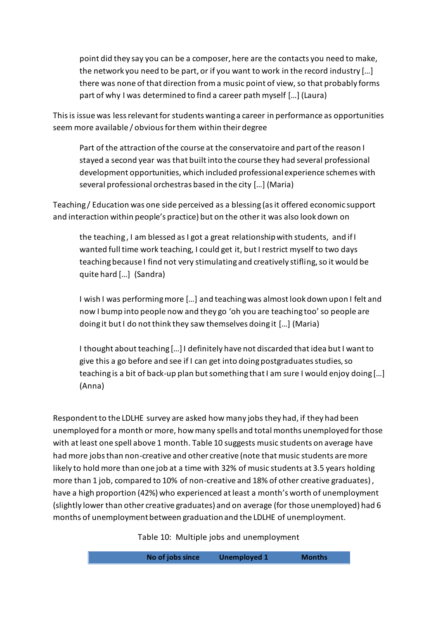point did they say you can be a composer, here are the contacts you need to make, the network you need to be part, or if you want to work in the record industry […] there was none of that direction from a music point of view, so that probably forms part of why I was determined to find a career path myself […] (Laura)

This is issue was less relevant for students wanting a career in performance as opportunities seem more available / obvious for them within their degree

Part of the attraction of the course at the conservatoire and part of the reason I stayed a second year was that built into the course they had several professional development opportunities, which included professional experience schemes with several professional orchestras based in the city […] (Maria)

Teaching / Education was one side perceived as a blessing (as it offered economic support and interaction within people's practice) but on the other it was also look down on

the teaching , I am blessed as I got a great relationship with students, and if I wanted full time work teaching, I could get it, but I restrict myself to two days teaching because I find not very stimulating and creatively stifling, so it would be quite hard […] (Sandra)

I wish I was performing more […] and teaching was almost look down upon I felt and now I bump into people now and they go 'oh you are teaching too' so people are doing it but I do not think they saw themselves doing it […] (Maria)

I thought about teaching […] I definitely have not discarded that idea but I want to give this a go before and see if I can get into doing postgraduates studies, so teaching is a bit of back-up plan but something that I am sure I would enjoy doing […] (Anna)

Respondent to the LDLHE survey are asked how many jobs they had, if they had been unemployed for a month or more, how many spells and total months unemployed for those with at least one spell above 1 month. Table 10 suggests music students on average have had more jobs than non-creative and other creative (note that music students are more likely to hold more than one job at a time with 32% of music students at 3.5 years holding more than 1 job, compared to 10% of non-creative and 18% of other creative graduates) , have a high proportion (42%) who experienced at least a month's worth of unemployment (slightly lower than other creative graduates) and on average (for those unemployed) had 6 months of unemploymentbetween graduation and the LDLHE of unemployment.

Table 10: Multiple jobs and unemployment

**No of jobs since Unemployed 1 Months**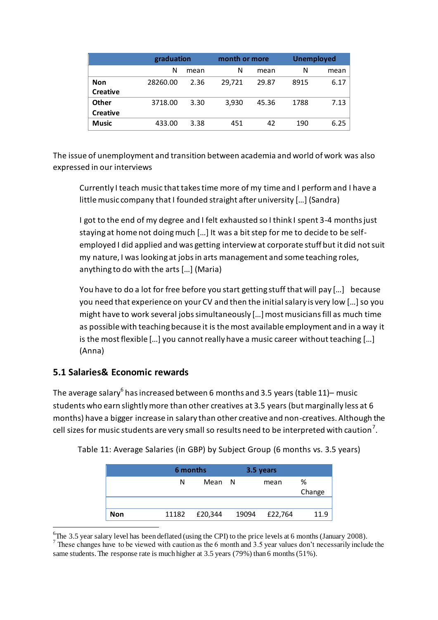|                 |          | graduation |        | month or more | <b>Unemployed</b> |      |
|-----------------|----------|------------|--------|---------------|-------------------|------|
|                 | N        | mean       | N      | mean          | N                 | mean |
| <b>Non</b>      | 28260.00 | 2.36       | 29,721 | 29.87         | 8915              | 6.17 |
| <b>Creative</b> |          |            |        |               |                   |      |
| <b>Other</b>    | 3718.00  | 3.30       | 3.930  | 45.36         | 1788              | 7.13 |
| <b>Creative</b> |          |            |        |               |                   |      |
| <b>Music</b>    | 433.00   | 3.38       | 451    | 42            | 190               | 6.25 |

The issue of unemployment and transition between academia and world of work was also expressed in our interviews

Currently I teach music that takes time more of my time and I perform and I have a little music company that I founded straight after university […] (Sandra)

I got to the end of my degree and I felt exhausted so I think I spent 3-4 months just staying at home not doing much […] It was a bit step for me to decide to be selfemployed I did applied and was getting interview at corporate stuff but it did not suit my nature, I was looking at jobs in arts management and some teaching roles, anything to do with the arts […] (Maria)

You have to do a lot for free before you start getting stuff that will pay […] because you need that experience on your CV and then the initial salary is very low […] so you might have to work several jobs simultaneously […] most musicians fill as much time as possible with teaching because it is the most available employment and in a way it is the most flexible […] you cannot really have a music career without teaching […] (Anna)

#### **5.1 Salaries& Economic rewards**

 $\overline{a}$ 

The average salary $^6$  has increased between 6 months and 3.5 years (table 11)– music students who earn slightly more than other creatives at 3.5 years (but marginally less at 6 months) have a bigger increase in salary than other creative and non-creatives. Although the cell sizes for music students are very small so results need to be interpreted with caution $^7\!$ 

|     | 6 months |         | 3.5 years |         |             |
|-----|----------|---------|-----------|---------|-------------|
|     | N        | Mean N  |           | mean    | %<br>Change |
|     |          |         |           |         |             |
| Non | 11182    | £20,344 | 19094     | £22,764 | 11.9        |

Table 11: Average Salaries (in GBP) by Subject Group (6 months vs. 3.5 years)

<sup>&</sup>lt;sup>6</sup>The 3.5 year salary level has been deflated (using the CPI) to the price levels at 6 months (January 2008).

<sup>&</sup>lt;sup>7</sup> These changes have to be viewed with caution as the 6 month and 3.5 year values don't necessarily include the same students. The response rate is much higher at 3.5 years (79%) than 6 months (51%).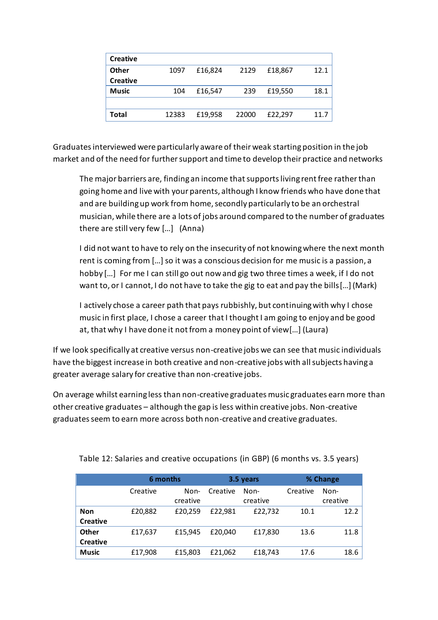| <b>Creative</b> |       |         |       |         |      |
|-----------------|-------|---------|-------|---------|------|
| Other           | 1097  | £16,824 | 2129  | £18,867 | 12.1 |
| <b>Creative</b> |       |         |       |         |      |
| <b>Music</b>    | 104   | £16,547 | 239   | £19,550 | 18.1 |
|                 |       |         |       |         |      |
| Total           | 12383 | £19,958 | 22000 | £22,297 | 11.7 |

Graduates interviewed were particularly aware of their weak starting position in the job market and of the need for further support and time to develop their practice and networks

The major barriers are, finding an income that supports living rent free rather than going home and live with your parents, although I know friends who have done that and are building up work from home, secondly particularly to be an orchestral musician, while there are a lots of jobs around compared to the number of graduates there are still very few […] (Anna)

I did not want to have to rely on the insecurity of not knowing where the next month rent is coming from […] so it was a conscious decision for me music is a passion, a hobby […] For me I can still go out now and gig two three times a week, if I do not want to, or I cannot, I do not have to take the gig to eat and pay the bills[…] (Mark)

I actively chose a career path that pays rubbishly, but continuing with why I chose music in first place, I chose a career that I thought I am going to enjoy and be good at, that why I have done it not from a money point of view[…] (Laura)

If we look specifically at creative versus non-creative jobs we can see that music individuals have the biggest increase in both creative and non-creative jobs with all subjects having a greater average salary for creative than non-creative jobs.

On average whilst earning less than non-creative graduates music graduates earn more than other creative graduates – although the gap is less within creative jobs. Non-creative graduates seem to earn more across both non-creative and creative graduates.

|                                 | 6 months |                  |          | 3.5 years        | % Change |                  |  |
|---------------------------------|----------|------------------|----------|------------------|----------|------------------|--|
|                                 | Creative | Non-<br>creative | Creative | Non-<br>creative | Creative | Non-<br>creative |  |
| <b>Non</b><br><b>Creative</b>   | £20,882  | £20,259          | £22,981  | £22,732          | 10.1     | 12.2             |  |
| <b>Other</b><br><b>Creative</b> | £17,637  | £15.945          | £20.040  | £17,830          | 13.6     | 11.8             |  |
| <b>Music</b>                    | £17.908  | £15,803          | £21.062  | £18,743          | 17.6     | 18.6             |  |

Table 12: Salaries and creative occupations (in GBP) (6 months vs. 3.5 years)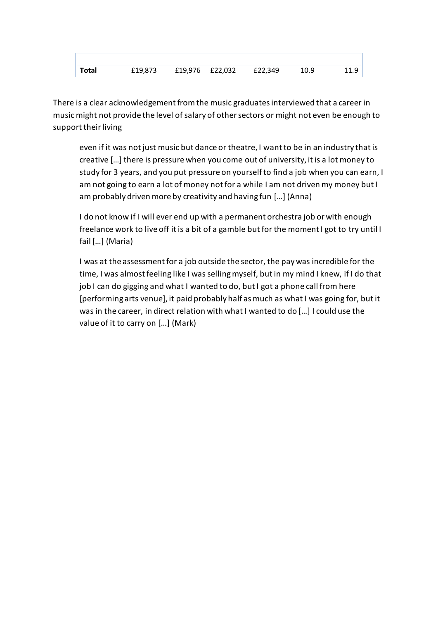| Total | £19,873 | £19,976 £22,032 | £22,349 | 10.9 | 11.9 |
|-------|---------|-----------------|---------|------|------|

There is a clear acknowledgement from the music graduates interviewed that a career in music might not provide the level of salary of other sectors or might not even be enough to support their living

even if it was not just music but dance or theatre, I want to be in an industry that is creative […] there is pressure when you come out of university, it is a lot money to study for 3 years, and you put pressure on yourself to find a job when you can earn, I am not going to earn a lot of money not for a while I am not driven my money but I am probably driven more by creativity and having fun […] (Anna)

I do not know if I will ever end up with a permanent orchestra job or with enough freelance work to live off it is a bit of a gamble but for the moment I got to try until I fail […] (Maria)

I was at the assessment for a job outside the sector, the pay was incredible for the time, I was almost feeling like I was selling myself, but in my mind I knew, if I do that job I can do gigging and what I wanted to do, but I got a phone call from here [performing arts venue], it paid probably half as much as what I was going for, but it was in the career, in direct relation with what I wanted to do […] I could use the value of it to carry on […] (Mark)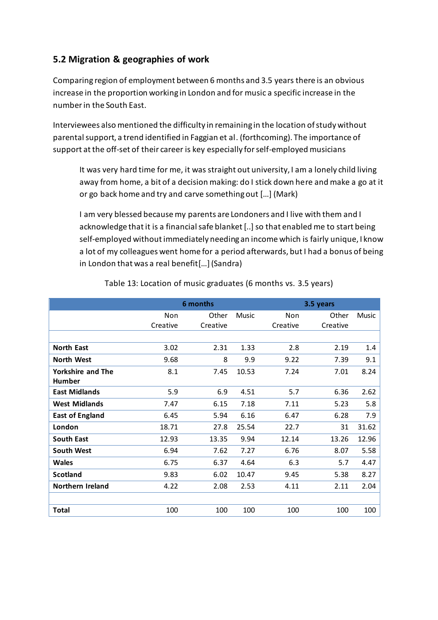### **5.2 Migration & geographies of work**

Comparing region of employment between 6 months and 3.5 years there is an obvious increase in the proportion working in London and for music a specific increase in the number in the South East.

Interviewees also mentioned the difficulty in remaining in the location of study without parental support, a trend identified in Faggian et al. [\(forthcoming\)](#page-24-17). The importance of support at the off-set of their career is key especially for self-employed musicians

It was very hard time for me, it was straight out university, I am a lonely child living away from home, a bit of a decision making: do I stick down here and make a go at it or go back home and try and carve something out […] (Mark)

I am very blessed because my parents are Londoners and I live with them and I acknowledge that it is a financial safe blanket [..] so that enabled me to start being self-employed without immediately needing an income which is fairly unique, I know a lot of my colleagues went home for a period afterwards, but I had a bonus of being in London that was a real benefit[…](Sandra)

|                          | 6 months |          |              | 3.5 years  |          |       |  |
|--------------------------|----------|----------|--------------|------------|----------|-------|--|
|                          | Non      | Other    | <b>Music</b> | <b>Non</b> | Other    | Music |  |
|                          | Creative | Creative |              | Creative   | Creative |       |  |
|                          |          |          |              |            |          |       |  |
| <b>North East</b>        | 3.02     | 2.31     | 1.33         | 2.8        | 2.19     | 1.4   |  |
| <b>North West</b>        | 9.68     | 8        | 9.9          | 9.22       | 7.39     | 9.1   |  |
| <b>Yorkshire and The</b> | 8.1      | 7.45     | 10.53        | 7.24       | 7.01     | 8.24  |  |
| <b>Humber</b>            |          |          |              |            |          |       |  |
| <b>East Midlands</b>     | 5.9      | 6.9      | 4.51         | 5.7        | 6.36     | 2.62  |  |
| <b>West Midlands</b>     | 7.47     | 6.15     | 7.18         | 7.11       | 5.23     | 5.8   |  |
| <b>East of England</b>   | 6.45     | 5.94     | 6.16         | 6.47       | 6.28     | 7.9   |  |
| London                   | 18.71    | 27.8     | 25.54        | 22.7       | 31       | 31.62 |  |
| <b>South East</b>        | 12.93    | 13.35    | 9.94         | 12.14      | 13.26    | 12.96 |  |
| <b>South West</b>        | 6.94     | 7.62     | 7.27         | 6.76       | 8.07     | 5.58  |  |
| <b>Wales</b>             | 6.75     | 6.37     | 4.64         | 6.3        | 5.7      | 4.47  |  |
| <b>Scotland</b>          | 9.83     | 6.02     | 10.47        | 9.45       | 5.38     | 8.27  |  |
| <b>Northern Ireland</b>  | 4.22     | 2.08     | 2.53         | 4.11       | 2.11     | 2.04  |  |
|                          |          |          |              |            |          |       |  |
| Total                    | 100      | 100      | 100          | 100        | 100      | 100   |  |

Table 13: Location of music graduates (6 months vs. 3.5 years)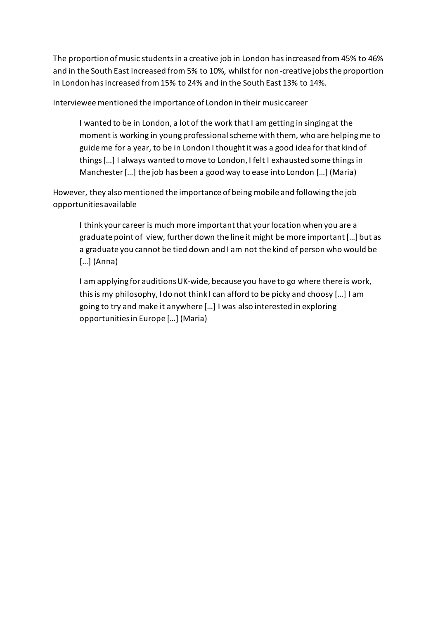The proportion of music students in a creative job in London has increased from 45% to 46% and in the South East increased from 5% to 10%, whilst for non-creative jobs the proportion in London has increased from 15% to 24% and in the South East 13% to 14%.

Interviewee mentioned the importance of London in their music career

I wanted to be in London, a lot of the work that I am getting in singing at the moment is working in young professional scheme with them, who are helping me to guide me for a year, to be in London I thought it was a good idea for that kind of things […] I always wanted to move to London, I felt I exhausted some things in Manchester […] the job has been a good way to ease into London […] (Maria)

However, they also mentioned the importance of being mobile and following the job opportunities available

I think your career is much more important that your location when you are a graduate point of view, further down the line it might be more important […] but as a graduate you cannot be tied down and I am not the kind of person who would be […] (Anna)

I am applying for auditions UK-wide, because you have to go where there is work, this is my philosophy, I do not think I can afford to be picky and choosy […] I am going to try and make it anywhere […] I was also interested in exploring opportunities in Europe […] (Maria)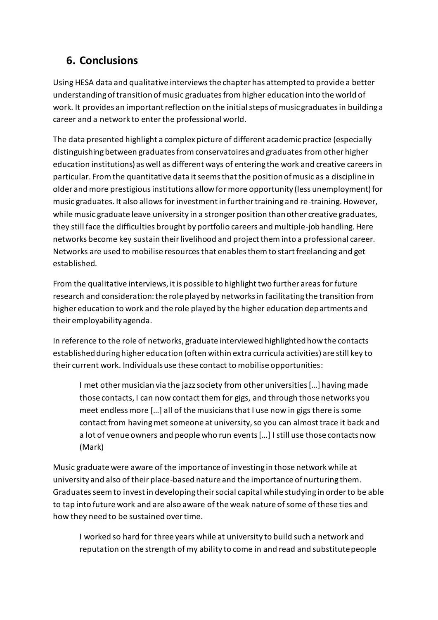# **6. Conclusions**

Using HESA data and qualitative interviews the chapter has attempted to provide a better understanding of transition of music graduates from higher education into the world of work. It provides an important reflection on the initial steps of music graduates in building a career and a network to enter the professional world.

The data presented highlight a complex picture of different academic practice (especially distinguishing between graduates from conservatoires and graduates from other higher education institutions) as well as different ways of entering the work and creative careers in particular. From the quantitative data it seems that the position of music as a discipline in older and more prestigious institutions allow for more opportunity (less unemployment) for music graduates. It also allows for investment in further training and re-training. However, while music graduate leave university in a stronger position than other creative graduates, they still face the difficulties brought by portfolio careers and multiple-job handling. Here networks become key sustain their livelihood and project them into a professional career. Networks are used to mobilise resources that enables them to start freelancing and get established.

From the qualitative interviews, it is possible to highlight two further areas for future research and consideration: the role played by networks in facilitating the transition from higher education to work and the role played by the higher education departments and their employability agenda.

In reference to the role of networks, graduate interviewed highlighted how the contacts established during higher education (often within extra curricula activities) are still key to their current work. Individualsuse these contact to mobilise opportunities:

I met other musician via the jazz society from other universities […] having made those contacts, I can now contact them for gigs, and through those networks you meet endless more […] all of the musicians that I use now in gigs there is some contact from having met someone at university, so you can almost trace it back and a lot of venue owners and people who run events […] I still use those contacts now (Mark)

Music graduate were aware of the importance of investing in those network while at university and also of their place-based nature and the importance of nurturing them. Graduates seem to invest in developing their social capital while studying in order to be able to tap into future work and are also aware of the weak nature of some of these ties and how they need to be sustained over time.

I worked so hard for three years while at university to build such a network and reputation on the strength of my ability to come in and read and substitute people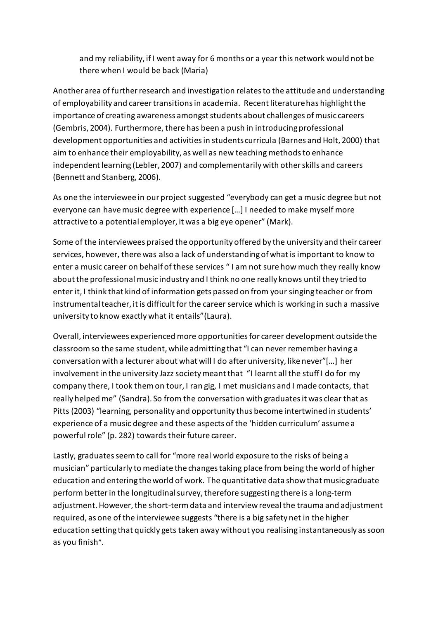and my reliability, if I went away for 6 months or a year this network would not be there when I would be back (Maria)

Another area of further research and investigation relates to the attitude and understanding of employability and career transitions in academia. Recent literature has highlight the importance of creating awareness amongst students about challenges of music careers [\(Gembris, 2004\)](#page-24-18). Furthermore, there has been a push in introducing professional development opportunities and activities in students curricula [\(Barnes and Holt, 2000\)](#page-23-11) that aim to enhance their employability, as well as new teaching methods to enhance independent learning [\(Lebler, 2007\)](#page-24-19) and complementarily with other skills and careers [\(Bennett and Stanberg, 2006\)](#page-23-9).

As one the interviewee in our project suggested "everybody can get a music degree but not everyone can have music degree with experience […] I needed to make myself more attractive to a potential employer, it was a big eye opener" (Mark).

Some of the interviewees praised the opportunity offered by the university and their career services, however, there was also a lack of understanding of what is important to know to enter a music career on behalf of these services " I am not sure how much they really know about the professional music industry and I think no one really knows until they tried to enter it, I think that kind of information gets passed on from your singing teacher or from instrumental teacher, it is difficult for the career service which is working in such a massive university to know exactly what it entails"(Laura).

Overall, interviewees experienced more opportunities for career development outside the classroom so the same student, while admitting that "I can never remember having a conversation with a lecturer about what will I do after university, like never"[…] her involvement in the university Jazz society meant that "I learnt all the stuff I do for my company there, I took them on tour, I ran gig, I met musicians and I made contacts, that really helped me" (Sandra). So from the conversation with graduates it was clear that as Pitts [\(2003\)](#page-25-7) "learning, personality and opportunity thus become intertwined in students' experience of a music degree and these aspects of the 'hidden curriculum' assume a powerful role" (p. 282) towards their future career.

Lastly, graduates seem to call for "more real world exposure to the risks of being a musician" particularly to mediate the changes taking place from being the world of higher education and entering the world of work. The quantitative data show that music graduate perform better in the longitudinal survey, therefore suggesting there is a long-term adjustment. However, the short-term data and interview reveal the trauma and adjustment required, as one of the interviewee suggests "there is a big safety net in the higher education setting that quickly gets taken away without you realising instantaneously as soon as you finish".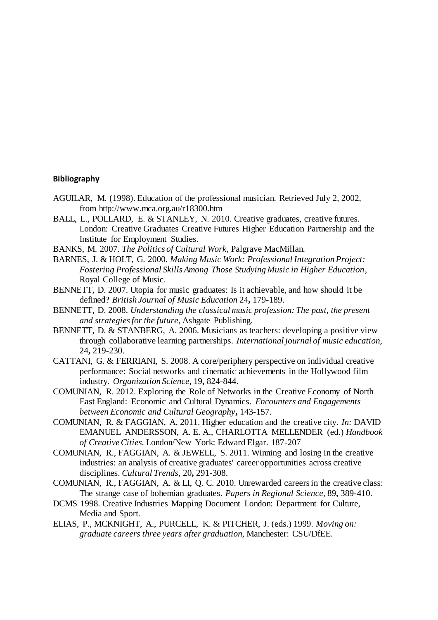#### **Bibliography**

- AGUILAR, M. (1998). Education of the professional musician. Retrieved July 2, 2002, from http://www.mca.org.au/r18300.htm
- <span id="page-23-8"></span>BALL, L., POLLARD, E. & STANLEY, N. 2010. Creative graduates, creative futures. London: Creative Graduates Creative Futures Higher Education Partnership and the Institute for Employment Studies.
- <span id="page-23-6"></span>BANKS, M. 2007. *The Politics of Cultural Work*, Palgrave MacMillan.
- <span id="page-23-11"></span>BARNES, J. & HOLT, G. 2000. *Making Music Work: Professional Integration Project: Fostering Professional Skills Among Those Studying Music in Higher Education*, Royal College of Music.
- <span id="page-23-2"></span>BENNETT, D. 2007. Utopia for music graduates: Is it achievable, and how should it be defined? *British Journal of Music Education* 24**,** 179-189.
- <span id="page-23-1"></span>BENNETT, D. 2008. *Understanding the classical music profession: The past, the present and strategies for the future*, Ashgate Publishing.
- <span id="page-23-9"></span>BENNETT, D. & STANBERG, A. 2006. Musicians as teachers: developing a positive view through collaborative learning partnerships. *International journal of music education,* 24**,** 219-230.
- <span id="page-23-7"></span>CATTANI, G. & FERRIANI, S. 2008. A core/periphery perspective on individual creative performance: Social networks and cinematic achievements in the Hollywood film industry. *Organization Science,* 19**,** 824-844.
- <span id="page-23-5"></span>COMUNIAN, R. 2012. Exploring the Role of Networks in the Creative Economy of North East England: Economic and Cultural Dynamics. *Encounters and Engagements between Economic and Cultural Geography***,** 143-157.
- <span id="page-23-10"></span>COMUNIAN, R. & FAGGIAN, A. 2011. Higher education and the creative city. *In:* DAVID EMANUEL ANDERSSON, A. E. A., CHARLOTTA MELLENDER (ed.) *Handbook of Creative Cities.* London/New York: Edward Elgar. 187-207
- <span id="page-23-3"></span>COMUNIAN, R., FAGGIAN, A. & JEWELL, S. 2011. Winning and losing in the creative industries: an analysis of creative graduates' career opportunities across creative disciplines. *Cultural Trends,* 20**,** 291-308.
- <span id="page-23-4"></span>COMUNIAN, R., FAGGIAN, A. & LI, Q. C. 2010. Unrewarded careers in the creative class: The strange case of bohemian graduates. *Papers in Regional Science,* 89**,** 389-410.
- <span id="page-23-0"></span>DCMS 1998. Creative Industries Mapping Document London: Department for Culture, Media and Sport.
- ELIAS, P., MCKNIGHT, A., PURCELL, K. & PITCHER, J. (eds.) 1999. *Moving on: graduate careers three years after graduation,* Manchester: CSU/DfEE.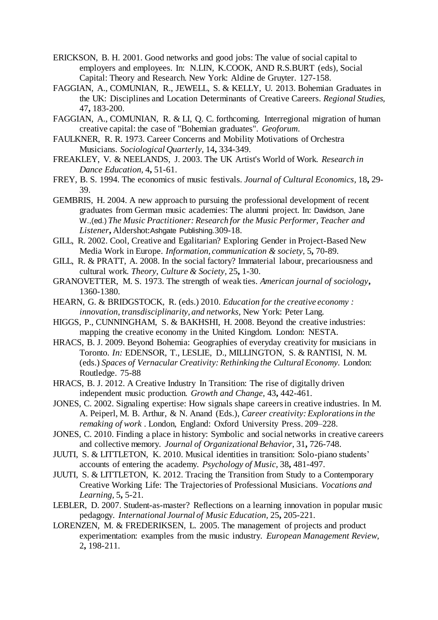- <span id="page-24-13"></span>ERICKSON, B. H. 2001. Good networks and good jobs: The value of social capital to employers and employees. In: N.LIN, K.COOK, AND R.S.BURT (eds), Social Capital: Theory and Research. New York: Aldine de Gruyter. 127-158.
- <span id="page-24-3"></span>FAGGIAN, A., COMUNIAN, R., JEWELL, S. & KELLY, U. 2013. Bohemian Graduates in the UK: Disciplines and Location Determinants of Creative Careers. *Regional Studies,* 47**,** 183-200.
- <span id="page-24-17"></span>FAGGIAN, A., COMUNIAN, R. & LI, Q. C. forthcoming. Interregional migration of human creative capital: the case of "Bohemian graduates". *Geoforum*.
- <span id="page-24-6"></span>FAULKNER, R. R. 1973. Career Concerns and Mobility Motivations of Orchestra Musicians. *Sociological Quarterly,* 14**,** 334-349.
- <span id="page-24-11"></span>FREAKLEY, V. & NEELANDS, J. 2003. The UK Artist's World of Work. *Research in Dance Education,* 4**,** 51-61.
- <span id="page-24-1"></span>FREY, B. S. 1994. The economics of music festivals. *Journal of Cultural Economics,* 18**,** 29- 39.
- <span id="page-24-18"></span>GEMBRIS, H. 2004. A new approach to pursuing the professional development of recent graduates from German music academies: The alumni project. In: Davidson, Jane W.,(ed.) *The Music Practitioner: Research for the Music Performer, Teacher and Listener***,** Aldershot:Ashgate Publishing.309-18.
- <span id="page-24-5"></span>GILL, R. 2002. Cool, Creative and Egalitarian? Exploring Gender in Project-Based New Media Work in Europe. *Information, communication & society,* 5**,** 70-89.
- <span id="page-24-4"></span>GILL, R. & PRATT, A. 2008. In the social factory? Immaterial labour, precariousness and cultural work. *Theory, Culture & Society,* 25**,** 1-30.
- <span id="page-24-12"></span>GRANOVETTER, M. S. 1973. The strength of weak ties. *American journal of sociology***,** 1360-1380.
- <span id="page-24-10"></span>HEARN, G. & BRIDGSTOCK, R. (eds.) 2010. *Education for the creative economy : innovation, transdisciplinarity, and networks,* New York: Peter Lang.
- <span id="page-24-16"></span>HIGGS, P., CUNNINGHAM, S. & BAKHSHI, H. 2008. Beyond the creative industries: mapping the creative economy in the United Kingdom. London: NESTA.
- <span id="page-24-2"></span>HRACS, B. J. 2009. Beyond Bohemia: Geographies of everyday creativity for musicians in Toronto. *In:* EDENSOR, T., LESLIE, D., MILLINGTON, S. & RANTISI, N. M. (eds.) *Spaces of Vernacular Creativity: Rethinking the Cultural Economy.* London: Routledge. 75-88
- <span id="page-24-7"></span>HRACS, B. J. 2012. A Creative Industry In Transition: The rise of digitally driven independent music production. *Growth and Change,* 43**,** 442-461.
- <span id="page-24-15"></span>JONES, C. 2002. Signaling expertise: How signals shape careers in creative industries. In M. A. Peiperl, M. B. Arthur, & N. Anand (Eds.), *Career creativity: Explorations in the remaking of work* . London, England: Oxford University Press. 209–228.
- <span id="page-24-14"></span>JONES, C. 2010. Finding a place in history: Symbolic and social networks in creative careers and collective memory. *Journal of Organizational Behavior,* 31**,** 726-748.
- <span id="page-24-8"></span>JUUTI, S. & LITTLETON, K. 2010. Musical identities in transition: Solo-piano students' accounts of entering the academy. *Psychology of Music,* 38**,** 481-497.
- <span id="page-24-9"></span>JUUTI, S. & LITTLETON, K. 2012. Tracing the Transition from Study to a Contemporary Creative Working Life: The Trajectories of Professional Musicians. *Vocations and Learning,* 5**,** 5-21.
- <span id="page-24-19"></span>LEBLER, D. 2007. Student-as-master? Reflections on a learning innovation in popular music pedagogy. *International Journal of Music Education,* 25**,** 205-221.
- <span id="page-24-0"></span>LORENZEN, M. & FREDERIKSEN, L. 2005. The management of projects and product experimentation: examples from the music industry. *European Management Review,* 2**,** 198-211.